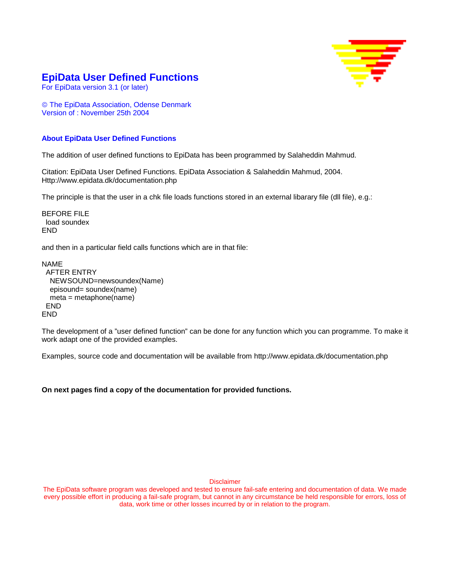

#### **EpiData User Defined Functions**

For EpiData version 3.1 (or later)

 The EpiData Association, Odense Denmark Version of : November 25th 2004

#### **About EpiData User Defined Functions**

The addition of user defined functions to EpiData has been programmed by Salaheddin Mahmud.

Citation: EpiData User Defined Functions. EpiData Association & Salaheddin Mahmud, 2004. Http://www.epidata.dk/documentation.php

The principle is that the user in a chk file loads functions stored in an external libarary file (dll file), e.g.:

BEFORE FILE load soundex END

and then in a particular field calls functions which are in that file:

```
NAME 
 AFTER ENTRY 
   NEWSOUND=newsoundex(Name) 
  episound= soundex(name)
   meta = metaphone(name) 
  END 
END
```
The development of a "user defined function" can be done for any function which you can programme. To make it work adapt one of the provided examples.

Examples, source code and documentation will be available from http://www.epidata.dk/documentation.php

**On next pages find a copy of the documentation for provided functions.** 

Disclaimer

The EpiData software program was developed and tested to ensure fail-safe entering and documentation of data. We made every possible effort in producing a fail-safe program, but cannot in any circumstance be held responsible for errors, loss of data, work time or other losses incurred by or in relation to the program.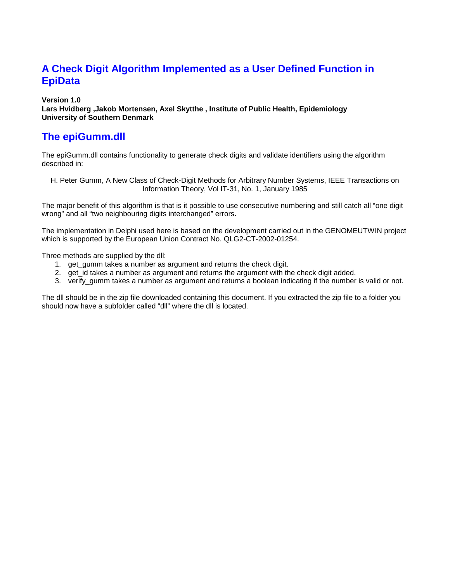## **A Check Digit Algorithm Implemented as a User Defined Function in EpiData**

**Version 1.0** 

**Lars Hvidberg ,Jakob Mortensen, Axel Skytthe , Institute of Public Health, Epidemiology University of Southern Denmark** 

## **The epiGumm.dll**

The epiGumm.dll contains functionality to generate check digits and validate identifiers using the algorithm described in:

H. Peter Gumm, A New Class of Check-Digit Methods for Arbitrary Number Systems, IEEE Transactions on Information Theory, Vol IT-31, No. 1, January 1985

The major benefit of this algorithm is that is it possible to use consecutive numbering and still catch all "one digit wrong" and all "two neighbouring digits interchanged" errors.

The implementation in Delphi used here is based on the development carried out in the GENOMEUTWIN project which is supported by the European Union Contract No. QLG2-CT-2002-01254.

Three methods are supplied by the dll:

- 1. get\_gumm takes a number as argument and returns the check digit.
- 2. get id takes a number as argument and returns the argument with the check digit added.
- 3. verify qumm takes a number as argument and returns a boolean indicating if the number is valid or not.

The dll should be in the zip file downloaded containing this document. If you extracted the zip file to a folder you should now have a subfolder called "dll" where the dll is located.